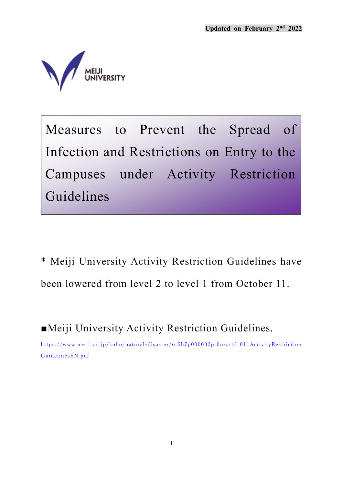

Measures to Prevent the Spread of Infection and Restrictions on Entry to the Campuses under Activity Restriction Guidelines

\* Meiji University Activity Restriction Guidelines have been lowered from level 2 to level 1 from October 11.

■Meiji University Activity Restriction Guidelines.

[https://www.meiji.ac.jp/koho/natural-disaster/6t5h7p000032pt0n-att/1011ActivityRestriction](https://www.meiji.ac.jp/koho/natural-disaster/6t5h7p000032pt0n-att/1011ActivityRestrictionGuidelinesEN.pdf) [GuidelinesEN.pdf](https://www.meiji.ac.jp/koho/natural-disaster/6t5h7p000032pt0n-att/1011ActivityRestrictionGuidelinesEN.pdf)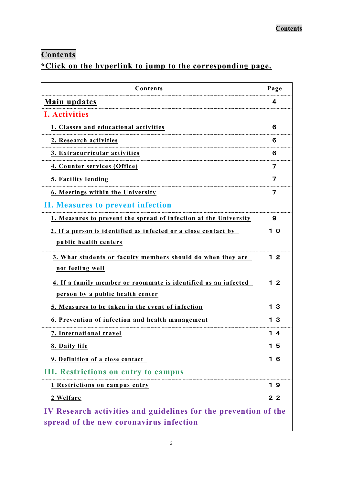# <span id="page-1-0"></span>**Contents**

## **\*Click on the hyperlink to jump to the corresponding page.**

| Contents                                                                                                   | Page           |  |  |
|------------------------------------------------------------------------------------------------------------|----------------|--|--|
| <b>Main updates</b>                                                                                        | 4              |  |  |
| <b>I. Activities</b>                                                                                       |                |  |  |
| 1. Classes and educational activities                                                                      | 6              |  |  |
| 2. Research activities                                                                                     |                |  |  |
| 3. Extracurricular activities                                                                              |                |  |  |
| 4. Counter services (Office)                                                                               | 7              |  |  |
| 5. Facility lending                                                                                        | 7              |  |  |
| <b>6. Meetings within the University</b>                                                                   |                |  |  |
| II. Measures to prevent infection                                                                          |                |  |  |
| 1. Measures to prevent the spread of infection at the University                                           | 9              |  |  |
| 2. If a person is identified as infected or a close contact by<br>public health centers                    |                |  |  |
| 3. What students or faculty members should do when they are<br>not feeling well                            | $12$           |  |  |
| 4. If a family member or roommate is identified as an infected<br>person by a public health center         | 1 <sub>2</sub> |  |  |
| 5. Measures to be taken in the event of infection                                                          |                |  |  |
| 6. Prevention of infection and health management                                                           |                |  |  |
| 7. International travel                                                                                    |                |  |  |
| 8. Daily life                                                                                              | 15             |  |  |
| 9. Definition of a close contact                                                                           | 16             |  |  |
| <b>III. Restrictions on entry to campus</b>                                                                |                |  |  |
| 1 Restrictions on campus entry                                                                             | 19             |  |  |
| 2 Welfare                                                                                                  | 2 <sub>2</sub> |  |  |
| IV Research activities and guidelines for the prevention of the<br>spread of the new coronavirus infection |                |  |  |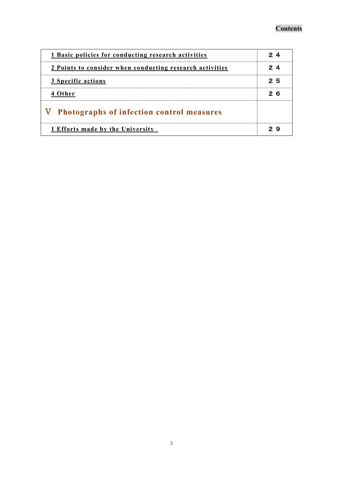| 1 Basic policies for conducting research activities      |     |
|----------------------------------------------------------|-----|
| 2 Points to consider when conducting research activities |     |
| 3 Specific actions                                       | 25  |
| 4 Other                                                  | 2 6 |
| V Photographs of infection control measures              |     |
| 1 Efforts made by the University                         |     |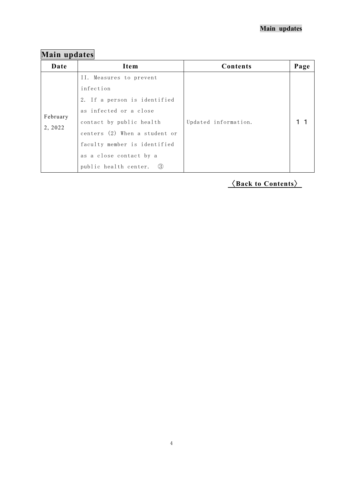# <span id="page-3-0"></span>**Main updates**

| Date                | Item                                                                                                                                                                                        | Contents             | Page |
|---------------------|---------------------------------------------------------------------------------------------------------------------------------------------------------------------------------------------|----------------------|------|
| February<br>2, 2022 | II. Measures to prevent<br>infection<br>2. If a person is identified<br>as infected or a close<br>contact by public health<br>centers (2) When a student or<br>faculty member is identified | Updated information. |      |
|                     | as a close contact by a<br>- 3<br>public health center.                                                                                                                                     |                      |      |

# 〈**[Back to Contents](#page-1-0)**〉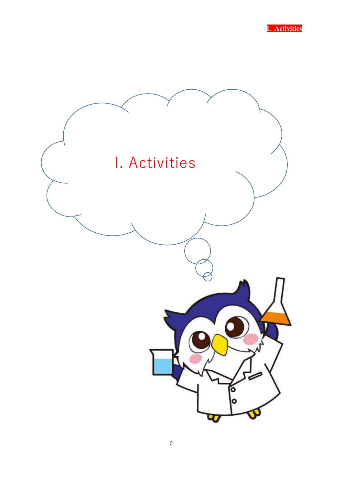

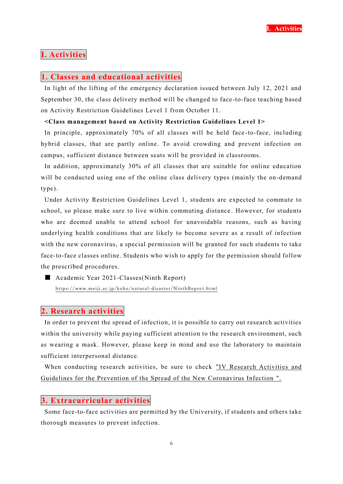## **I. Activities**

## <span id="page-5-0"></span>**1. Classes and educational activities**

In light of the lifting of the emergency declaration issued between July 12, 2021 and September 30, the class delivery method will be changed to face-to-face teaching based on Activity Restriction Guidelines Level 1 from October 11.

## **<Class management based on Activity Restriction Guidelines Level 1>**

In principle, approximately 70% of all classes will be held face -to-face, including hybrid classes, that are partly online. To avoid crowding and prevent infection on campus, sufficient distance between seats will be provided in classrooms.

In addition, approximately 30% of all classes that are suitable for online education will be conducted using one of the online class delivery types (mainly the on-demand type).

Under Activity Restriction Guidelines Level 1, students are expected to commute to school, so please make sure to live within commuting distance . However, for students who are deemed unable to attend school for unavoidable reasons, such as having underlying health conditions that are likely to become severe as a result of infection with the new coronavirus, a special permission will be granted for such students to take face-to-face classes online. Students who wish to apply for the permission should follow the prescribed procedures.

■ Academic Year 2021-Classes(Ninth Report) <https://www.meiji.ac.jp/koho/natural-disaster/NinthReport.html>

## <span id="page-5-1"></span>**2. Research activities**

In order to prevent the spread of infection, it is possible to carry out research activities within the university while paying sufficient attention to the research environment, such as wearing a mask. However, please keep in mind and use the laboratory to maintain sufficient interpersonal distance.

When conducting research activities, be sure to check "IV Research Activities and [Guidelines for the Prevention of the Spread of the New Coronavirus Infection ".](#page-23-0)

## <span id="page-5-2"></span>**3. Extracurricular activities**

Some face-to-face activities are permitted by the University, if students and others take thorough measures to prevent infection.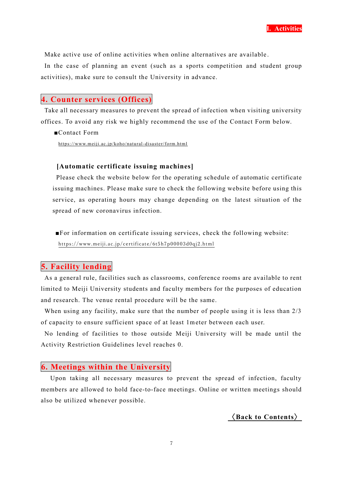

Make active use of online activities when online alternatives are available .

In the case of planning an event (such as a sports competition and student group activities), make sure to consult the University in advance.

## <span id="page-6-0"></span>**4. Counter services (Offices)**

Take all necessary measures to prevent the spread of infection when visiting university offices. To avoid any risk we highly recommend the use of the Contact Form below.

■Contact Form

<https://www.meiji.ac.jp/koho/natural-disaster/form.html>

## **[Automatic certificate issuing machines]**

Please check the website below for the operating schedule of automatic certificate issuing machines. Please make sure to check the following website before using this service, as operating hours may change depending on the latest situation of the spread of new coronavirus infection.

 ■For information on certificate issuing services, check the following website: <https://www.meiji.ac.jp/certificate/6t5h7p00003d0qj2.html>

## <span id="page-6-1"></span>**5. Facility lending**

As a general rule, facilities such as classrooms, conference rooms are available to rent limited to Meiji University students and faculty members for the purposes of education and research. The venue rental procedure will be the same.

When using any facility, make sure that the number of people using it is less than  $2/3$ of capacity to ensure sufficient space of at least 1meter between each user.

No lending of facilities to those outside Meiji University will be made until the Activity Restriction Guidelines level reaches 0.

## <span id="page-6-2"></span>**6. Meetings within the University**

Upon taking all necessary measures to prevent the spread of infection, faculty members are allowed to hold face-to-face meetings. Online or written meetings should also be utilized whenever possible.

〈**[Back to Contents](#page-1-0)**〉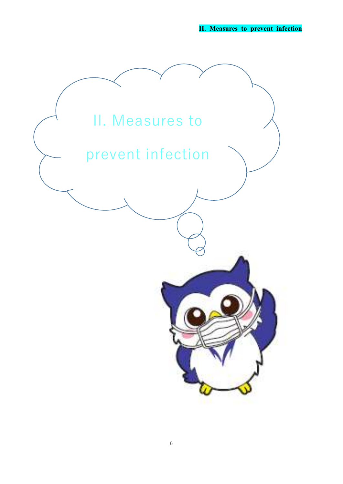**II. Measures to prevent infection**

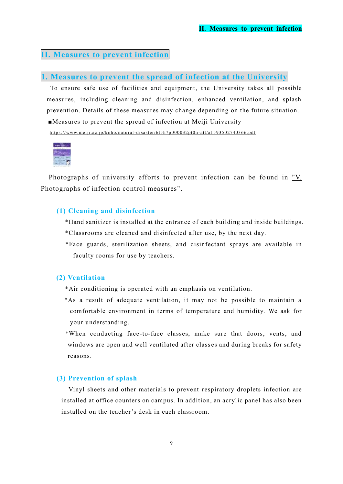## **II. Measures to prevent infection**

## <span id="page-8-0"></span>**1. Measures to prevent the spread of infection at the University**

To ensure safe use of facilities and equipment, the University takes all possible measures, including cleaning and disinfection, enhanced ventilation, and splash prevention. Details of these measures may change depending on the future situation. ■Measures to prevent the spread of infection at Meiji University

[https://www.meiji.ac.jp/koho/natural-disaster/6t5h7p000032pt0n](https://www.meiji.ac.jp/koho/natural-disaster/6t5h7p000032pt0n-att/a1593502740366.pdf) -att/a1593502740366.pdf



Photographs of university efforts to prevent infection can be found in "V. Photographs [of infection control measures".](#page-28-0)

## **(1) Cleaning and disinfection**

\*Hand sanitizer is installed at the entrance of each building and inside buildings. \*Classrooms are cleaned and disinfected after use, by the next day.

\*Face guards, sterilization sheets, and disinfectant sprays are available in faculty rooms for use by teachers.

## **(2) Ventilation**

- \*Air conditioning is operated with an emphasis on ventilation.
- \*As a result of adequate ventilation, it may not be possible to maintain a comfortable environment in terms of temperature and humidity. We ask for your understanding.
- \*When conducting face-to-face classes, make sure that doors, vents, and windows are open and well ventilated after classes and during breaks for safety reasons.

## **(3) Prevention of splash**

Vinyl sheets and other materials to prevent respiratory droplets infection are installed at office counters on campus. In addition, an acrylic panel has also been installed on the teacher's desk in each classroom.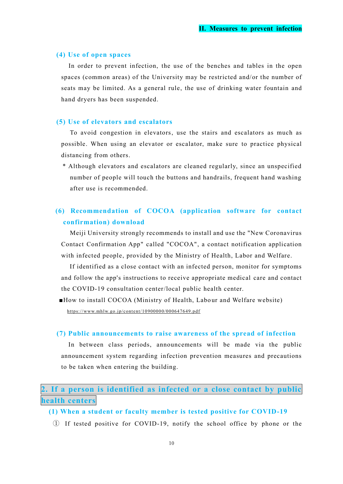#### **(4) Use of open spaces**

 In order to prevent infection, the use of the benches and tables in the open spaces (common areas) of the University may be restricted and/or the number of seats may be limited. As a general rule, the use of drinking water fountain and hand dryers has been suspended.

#### **(5) Use of elevators and escalators**

 To avoid congestion in elevators, use the stairs and escalators as much as possible. When using an elevator or escalator, make sure to practice physical distancing from others.

 \* Although elevators and escalators are cleaned regularly, since an unspecified number of people will touch the buttons and handrails, frequent hand washing after use is recommended.

## **(6) Recommendation of COCOA (application software for contact confirmation) download**

 Meiji University strongly recommends to install and use the "New Coronavirus Contact Confirmation App" called "COCOA", a contact notification application with infected people, provided by the Ministry of Health, Labor and Welfare.

If identified as a close contact with an infected person, monitor for symptoms and follow the app's instructions to receive appropriate medical care and contact the COVID-19 consultation center/local public health center.

■How to install COCOA (Ministry of Health, Labour and Welfare website) <https://www.mhlw.go.jp/content/10900000/000647649.pdf>

#### **(7) Public announcements to raise awareness of the spread of infection**

 In between class periods, announcements will be made via the public announcement system regarding infection prevention measures and precautions to be taken when entering the building.

## <span id="page-9-0"></span>**2. If a person is identified as infected or a close contact by public health centers**

## **(1) When a student or faculty member is tested positive for COVID-19**

① If tested positive for COVID-19, notify the school office by phone or the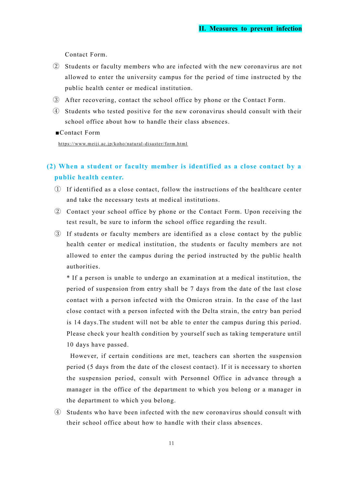Contact Form.

- ② Students or faculty members who are infected with the new coronavirus are not allowed to enter the university campus for the period of time instructed by the public health center or medical institution.
- ③ After recovering, contact the school office by phone or the Contact Form.
- ④ Students who tested positive for the new coronavirus should consult with their school office about how to handle their class absences.
- ■Contact Form

<https://www.meiji.ac.jp/koho/natural-disaster/form.html>

## **(2) When a student or faculty member is identified as a close contact by a public health center.**

- ① If identified as a close contact, follow the instructions of the healthcare center and take the necessary tests at medical institutions.
- ② Contact your school office by phone or the Contact Form. Upon receiving the test result, be sure to inform the school office regarding the result.
- ③ If students or faculty members are identified as a close contact by the public health center or medical institution, the students or faculty members are not allowed to enter the campus during the period instructed by the public health authorities.

\* If a person is unable to undergo an examination at a medical institution, the period of suspension from entry shall be 7 days from the date of the last close contact with a person infected with the Omicron strain. In the case of the last close contact with a person infected with the Delta strain, the entry ban period is 14 days.The student will not be able to enter the campus during this period. Please check your health condition by yourself such as taking temperature until 10 days have passed.

However, if certain conditions are met, teachers can shorten the suspension period (5 days from the date of the closest contact). If it is necessary to shorten the suspension period, consult with Personnel Office in advance through a manager in the office of the department to which you belong or a manager in the department to which you belong.

④ Students who have been infected with the new coronavirus should consult with their school office about how to handle with their class absences.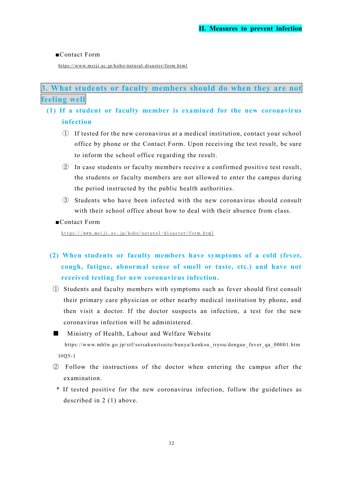## ■Contact Form

<https://www.meiji.ac.jp/koho/natural-disaster/form.html>

<span id="page-11-0"></span>**3. What students or faculty members should do when they are not feeling well**

## **(1) If a student or faculty member is examined for the new coronavirus infection**

- ① If tested for the new coronavirus at a medical institution, contact your school office by phone or the Contact Form. Upon receiving the test result, be sure to inform the school office regarding the result.
- ② In case students or faculty members receive a confirmed positive test result, the students or faculty members are not allowed to enter the campus during the period instructed by the public health authorities.
- ③ Students who have been infected with the new coronavirus should consult with their school office about how to deal with their absence from class.
- ■Contact Form

[https:/ /www. meiji .ac. jp/k oho/nat ural](https://www.meiji.ac.jp/koho/natural-disaster/form.html) -disas ter/ form .html

- **(2) When students or faculty members have symptoms of a cold (fever, cough, fatigue, abnormal sense of smell or taste, etc.) and have not received testing for new coronavirus infection.**
	- ① Students and faculty members with symptoms such as fever should first consult their primary care physician or other nearby medical institution by phone, and then visit a doctor. If the doctor suspects an infection, a test for the new coronavirus infection will be administered.
	- Ministry of Health, Labour and Welfare Website https://www.mhlw.go.jp/stf/seisakunitsuite/bunya/kenkou\_iryou/dengue\_fever\_qa\_00001.htm l#Q5-1
- ② Follow the instructions of the doctor when entering the campus after the examination.
	- \* If tested positive for the new coronavirus infection, follow the guidelines as described in 2 (1) above.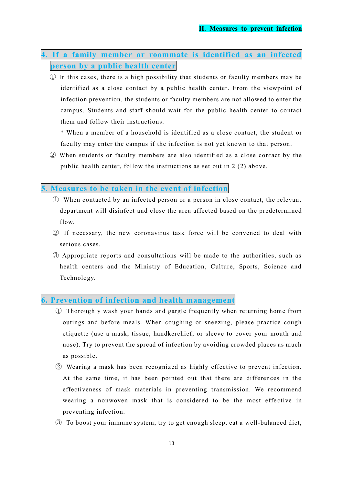- <span id="page-12-0"></span>**4. If a family member or roommate is identified as an infected person by a public health center**
	- ① In this cases, there is a high possibility that students or faculty members may be identified as a close contact by a public health center. From the viewpoint of infection prevention, the students or faculty members are not allowed to enter the campus. Students and staff should wait for the public health center to contact them and follow their instructions.
		- \* When a member of a household is identified as a close contact, the student or faculty may enter the campus if the infection is not yet known to that person.
	- ② When students or faculty members are also identified as a close contact by the public health center, follow the instructions as set out in 2 (2) above.

## <span id="page-12-1"></span>**5. Measures to be taken in the event of infection**

- ① When contacted by an infected person or a person in close contact, the relevant department will disinfect and close the area affected based on the predetermined flow.
- ② If necessary, the new coronavirus task force will be convened to deal with serious cases.
- ③ Appropriate reports and consultations will be made to the authorities, such as health centers and the Ministry of Education, Culture, Sports, Science and Technology.

## <span id="page-12-2"></span>**6. Prevention of infection and health management**

- ① Thoroughly wash your hands and gargle frequently when return ing home from outings and before meals. When coughing or sneezing, please practice cough etiquette (use a mask, tissue, handkerchief, or sleeve to cover your mouth and nose). Try to prevent the spread of infection by avoiding crowded places as much as possible.
- ② Wearing a mask has been recognized as highly effective to prevent infection. At the same time, it has been pointed out that there are differences in the effectiveness of mask materials in preventing transmission. We recommend wearing a nonwoven mask that is considered to be the most effective in preventing infection.
- ③ To boost your immune system, try to get enough sleep, eat a well-balanced diet,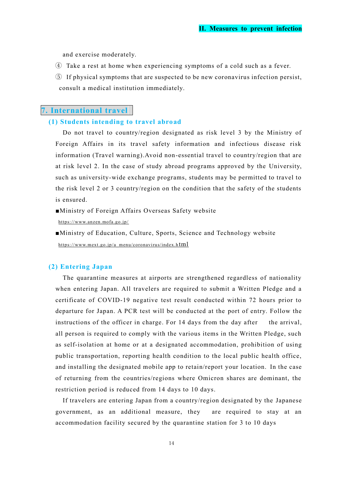and exercise moderately.

- ④ Take a rest at home when experiencing symptoms of a cold such as a fever.
- ⑤ If physical symptoms that are suspected to be new coronavirus infection persist, consult a medical institution immediately.

## <span id="page-13-0"></span>**7. International travel**

## **(1) Students intending to travel abroad**

Do not travel to country/region designated as risk level 3 by the Ministry of Foreign Affairs in its travel safety information and infectious disease risk information (Travel warning).Avoid non-essential travel to country/region that are at risk level 2. In the case of study abroad programs approved by the University, such as university-wide exchange programs, students may be permitted to travel to the risk level 2 or 3 country/region on the condition that the safety of the students is ensured.

■Ministry of Foreign Affairs Overseas Safety website

<https://www.anzen.mofa.go.jp/>

■Ministry of Education, Culture, Sports, Science and Technology website [https://www.mext.go.jp/a\\_menu/coronavirus/index.h](https://www.mext.go.jp/a_menu/coronavirus/index.html) [tml](https://www.mext.go.jp/a_menu/coronavirus/index.html)

## **(2) Entering Japan**

The quarantine measures at airports are strengthened regardless of nationality when entering Japan. All travelers are required to submit a Written Pledge and a certificate of COVID-19 negative test result conducted within 72 hours prior to departure for Japan. A PCR test will be conducted at the port of entry. Follow the instructions of the officer in charge. For 14 days from the day after the arrival, all person is required to comply with the various items in the Written Pledge, such as self-isolation at home or at a designated accommodation, prohibition of using public transportation, reporting health condition to the local public health office, and installing the designated mobile app to retain/report your location. In the case of returning from the countries/regions where Omicron shares are dominant, the restriction period is reduced from 14 days to 10 days.

If travelers are entering Japan from a country/region designated by the Japanese government, as an additional measure, they are required to stay at an accommodation facility secured by the quarantine station for 3 to 10 days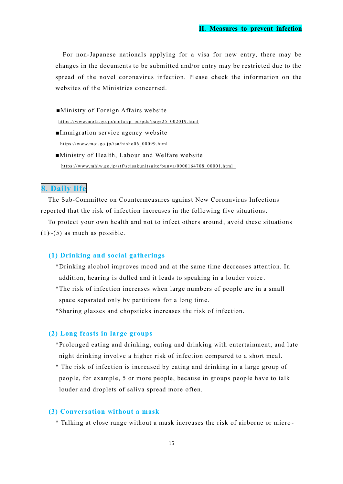For non-Japanese nationals applying for a visa for new entry, there may be changes in the documents to be submitted and/or entry may be restricted due to the spread of the novel coronavirus infection. Please check the information on the websites of the Ministries concerned.

- ■Ministry of Foreign Affairs website [https://www.mofa.go.jp/mofaj/p\\_pd/pds/page25\\_002019.html](https://www.mofa.go.jp/mofaj/p_pd/pds/page25_002019.html)
- ■Immigration service agency website https://www.moj.go.jp/isa/hisho06\_00099.html
- ■Ministry of Health, Labour and Welfare website [https://www.mhlw.go.jp/stf/seisakunitsuite/bunya/0000164708\\_00001.html](https://www.mhlw.go.jp/stf/seisakunitsuite/bunya/0000164708_00001.html)

## <span id="page-14-0"></span>**8. Daily life**

The Sub-Committee on Countermeasures against New Coronavirus Infections reported that the risk of infection increases in the following five situations.

To protect your own health and not to infect others around, avoid these situations  $(1)$  ~ $(5)$  as much as possible.

## **(1) Drinking and social gatherings**

- \*Drinking alcohol improves mood and at the same time decreases attention. In addition, hearing is dulled and it leads to speaking in a louder voice .
- \*The risk of infection increases when large numbers of people are in a small space separated only by partitions for a long time.

\*Sharing glasses and chopsticks increases the risk of infection.

## **(2) Long feasts in large groups**

- \*Prolonged eating and drinking, eating and drinking with entertainment, and late night drinking involve a higher risk of infection compared to a short meal.
- \* The risk of infection is increased by eating and drinking in a large group of people, for example, 5 or more people, because in groups people have to talk louder and droplets of saliva spread more often.

## **(3) Conversation without a mask**

\* Talking at close range without a mask increases the risk of airborne or micro -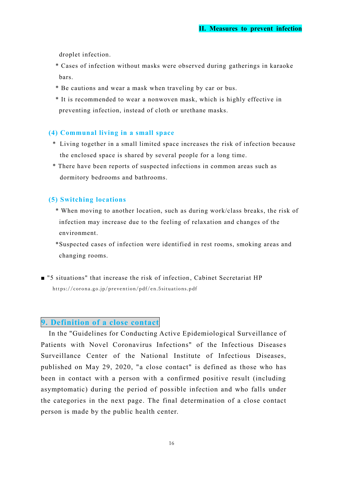droplet infection.

- \* Cases of infection without masks were observed during gatherings in karaoke bars.
- \* Be cautions and wear a mask when traveling by car or bus.
- \* It is recommended to wear a nonwoven mask, which is highly effective in preventing infection, instead of cloth or urethane masks.

## **(4) Communal living in a small space**

- \* Living together in a small limited space increases the risk of infection because the enclosed space is shared by several people for a long time.
- \* There have been reports of suspected infections in common areas such as dormitory bedrooms and bathrooms.

## **(5) Switching locations**

- \* When moving to another location, such as during work/class breaks, the risk of infection may increase due to the feeling of relaxation and changes of the environment.
- \*Suspected cases of infection were identified in rest rooms, smoking areas and changing rooms.
- <span id="page-15-0"></span>■ "5 situations" that increase the risk of infection , Cabinet Secretariat HP https://corona.go.jp/prevention/pdf/en.5situations.pdf

## **9. Definition of a close contact**

In the "Guidelines for Conducting Active Epidemiological Surveillance of Patients with Novel Coronavirus Infections" of the Infectious Diseases Surveillance Center of the National Institute of Infectious Diseases, published on May 29, 2020, "a close contact" is defined as those who has been in contact with a person with a confirmed positive result (including asymptomatic) during the period of possible infection and who falls under the categories in the next page. The final determination of a close contact person is made by the public health center.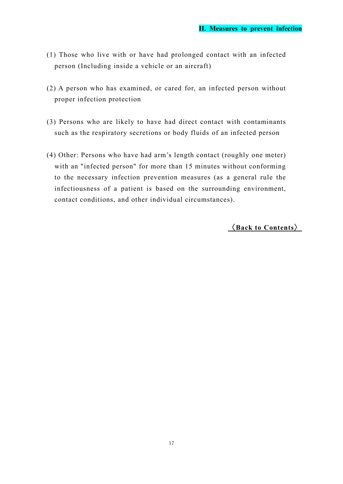- (1) Those who live with or have had prolonged contact with an infected person (Including inside a vehicle or an aircraft)
- (2) A person who has examined, or cared for, an infected person without proper infection protection
- (3) Persons who are likely to have had direct contact with contaminants such as the respiratory secretions or body fluids of an infected person
- (4) Other: Persons who have had arm's length contact (roughly one meter) with an "infected person" for more than 15 minutes without conforming to the necessary infection prevention measures (as a general rule the infectiousness of a patient is based on the surrounding environment, contact conditions, and other individual circumstances).

〈**[Back to Contents](#page-1-0)**〉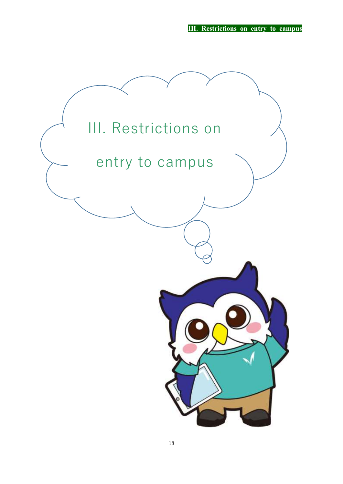**III. Restrictions on entry to campus**

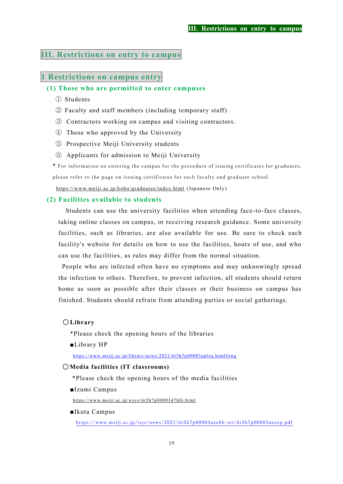## **III. Restrictions on entry to campus**

## <span id="page-18-0"></span>**1 Restrictions on campus entry**

## **(1) Those who are permitted to enter campuses**

- ① Students
- ② Faculty and staff members (including temporary staff)
- ③ Contractors working on campus and visiting contractors.
- ④ Those who approved by the University
- ⑤ Prospective Meiji University students
- ⑥ Applicants for admission to Meiji University
- \* For information on entering the campus for the procedure of issuing certificates for graduates,

please refer to the page on issuing certificates for each faculty and graduate school.

<https://www.meiji.ac.jp/koho/graduates/index.html> (Japanese Only)

## **(2) Facilities available to students**

Students can use the university facilities when attending face -to-face classes, taking online classes on campus, or receiving research guidance . Some university facilities, such as libraries, are also available for use. Be sure to check each facility's website for details on how to use the facilities, hours of use, and who can use the facilities, as rules may differ from the normal situation.

People who are infected often have no symptoms and may unknowingly spread the infection to others. Therefore, to prevent infection, all students should return home as soon as possible after their classes or their business on campus has finished. Students should refrain from attending parties or social gatherings.

#### 〇**Library**

\*Please check the opening hours of the libraries

■Library HP

<https://www.meiji.ac.jp/library/news/2021/6t5h7p00003aplzu.html#eng>

### 〇**Media facilities (IT classrooms)**

\*Please check the opening hours of the media facilities

■Izumi Campus

<https://www.meiji.ac.jp/wsys/6t5h7p0000347h0i.html>

■Ikuta Campus

[https://www.meiji.ac.jp/isys/news/2021/6t5h7p00003axobb](https://www.meiji.ac.jp/isys/news/2021/6t5h7p00003axobb-att/6t5h7p00003axoep.pdf) -att/6t5h7p00003axoep.pdf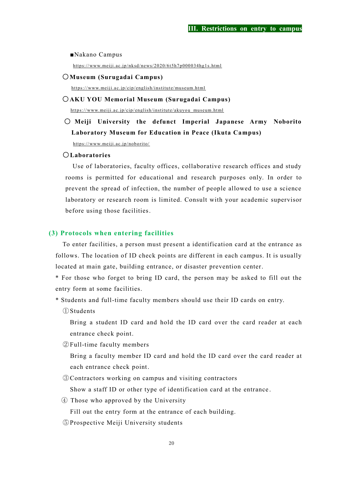■Nakano Campus

<https://www.meiji.ac.jp/nksd/news/2020/6t5h7p000034hg1s.html>

#### 〇**Museum (Surugadai Campus)**

<https://www.meiji.ac.jp/cip/english/institute/museum.html>

#### 〇**AKU YOU Memorial Museum (Surugadai Campus)**

[https://www.meiji.ac.jp/cip/english/institute/akuyou\\_museum.html](https://www.meiji.ac.jp/cip/english/institute/akuyou_museum.html)

## 〇 **Meiji University the defunct Imperial Japanese Army Noborito Laboratory Museum for Education in Peace (Ikuta Campus)**

<https://www.meiji.ac.jp/noborito/>

## 〇**Laboratories**

 Use of laboratories, faculty offices, collaborative research offices and study rooms is permitted for educational and research purposes only. In order to prevent the spread of infection, the number of people allowed to use a science laboratory or research room is limited. Consult with your academic supervisor before using those facilities.

#### **(3) Protocols when entering facilities**

 To enter facilities, a person must present a identification card at the entrance as follows. The location of ID check points are different in each campus. It is usually located at main gate, building entrance, or disaster prevention center.

 \* For those who forget to bring ID card, the person may be asked to fill out the entry form at some facilities.

\* Students and full-time faculty members should use their ID cards on entry.

①Students

 Bring a student ID card and hold the ID card over the card reader at each entrance check point.

②Full-time faculty members

Bring a faculty member ID card and hold the ID card over the card reader at each entrance check point.

③Contractors working on campus and visiting contractors

Show a staff ID or other type of identification card at the entrance .

④ Those who approved by the University

Fill out the entry form at the entrance of each building.

⑤Prospective Meiji University students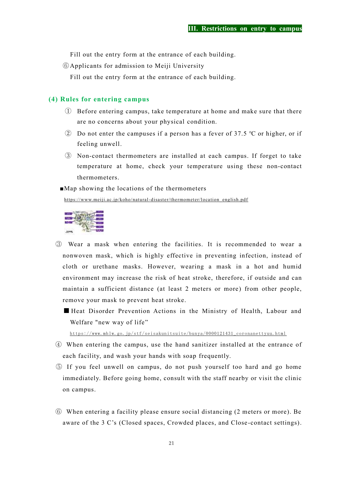Fill out the entry form at the entrance of each building.

⑥Applicants for admission to Meiji University

Fill out the entry form at the entrance of each building.

## **(4) Rules for entering campus**

- ① Before entering campus, take temperature at home and make sure that there are no concerns about your physical condition.
- ② Do not enter the campuses if a person has a fever of 37.5 ℃ or higher, or if feeling unwell.
- ③ Non-contact thermometers are installed at each campus. If forget to take temperature at home, check your temperature using these non-contact thermometers.
- ■Map showing the locations of the thermometers

[https://www.meiji.ac.jp/koho/natural-disaster/thermometer/location\\_english.pdf](https://www.meiji.ac.jp/koho/natural-disaster/thermometer/location_english.pdf)



- ③ Wear a mask when entering the facilities. It is recommended to wear a nonwoven mask, which is highly effective in preventing infection, instead of cloth or urethane masks. However, wearing a mask in a hot and humid environment may increase the risk of heat stroke, therefore, if outside and can maintain a sufficient distance (at least 2 meters or more) from other people, remove your mask to prevent heat stroke.
	- Heat Disorder Prevention Actions in the Ministry of Health, Labour and Welfare "new way of life"

https://www.mhlw.go.jp/stf/seisakunitsuite/bunya/0000121431\_coronanettyuu.html

- ④ When entering the campus, use the hand sanitizer installed at the entrance of each facility, and wash your hands with soap frequently.
- ⑤ If you feel unwell on campus, do not push yourself too hard and go home immediately. Before going home, consult with the staff nearby or visit the clinic on campus.
- ⑥ When entering a facility please ensure social distancing (2 meters or more). Be aware of the 3 C's (Closed spaces, Crowded places, and Close -contact settings).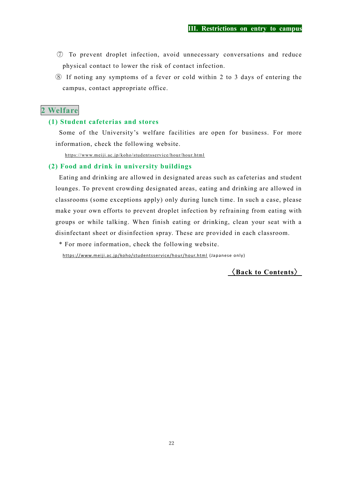- ⑦ To prevent droplet infection, avoid unnecessary conversations and reduce physical contact to lower the risk of contact infection.
- ⑧ If noting any symptoms of a fever or cold within 2 to 3 days of entering the campus, contact appropriate office.

## <span id="page-21-0"></span>**2 Welfare**

## **(1) Student cafeterias and stores**

Some of the University's welfare facilities are open for business. For more information, check the following website.

[https://www.meiji.ac.jp/koho/studentsservice/hour/hour.html](https://jpn01.safelinks.protection.outlook.com/?url=https%3A%2F%2Fwww.meiji.ac.jp%2Fkoho%2Fstudentsservice%2Fhour%2Fhour.html&data=04%7C01%7Cma97019%40mics.meiji.ac.jp%7C60a2025d00a44d46e29e08d88489643b%7C0f5c64587cc8444493d2cc6e3debf4c6%7C0%7C0%7C637405072910444194%7CUnknown%7CTWFpbGZsb3d8eyJWIjoiMC4wLjAwMDAiLCJQIjoiV2luMzIiLCJBTiI6Ik1haWwiLCJXVCI6Mn0%3D%7C1000&sdata=Du7gcpESXHsxyC7YYdB1C4JxsIaEMh89MSgDfEiQRjU%3D&reserved=0)

## **(2) Food and drink in university buildings**

 Eating and drinking are allowed in designated areas such as cafeterias and student lounges. To prevent crowding designated areas, eating and drinking are allowed in classrooms (some exceptions apply) only during lunch time. In such a case, please make your own efforts to prevent droplet infection by refraining from eating with groups or while talking. When finish eating or drinking, clean your seat with a disinfectant sheet or disinfection spray. These are provided in each classroom.

\* For more information, check the following website.

https://www.meiji.ac.jp/koho/studentsservice/hour/hour.html (Japanese only)

〈**[Back to Contents](#page-1-0)**〉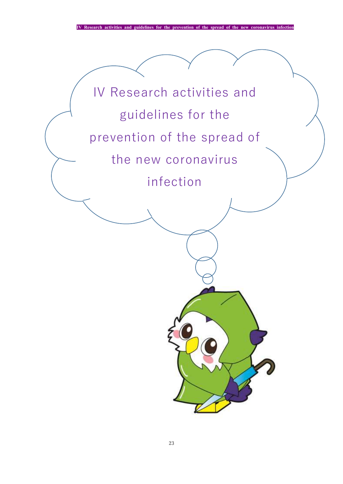**IV Research activities and guidelines for the prevention of the spread of the new coronavirus infectional** 

# IV Research activities and guidelines for the prevention of the spread of the new coronavirus infection

 $\overline{\phantom{a}}$ 

 $\overline{\phantom{0}}$  $\overline{\phantom{a}}$  $\overline{\mathcal{L}}$ 7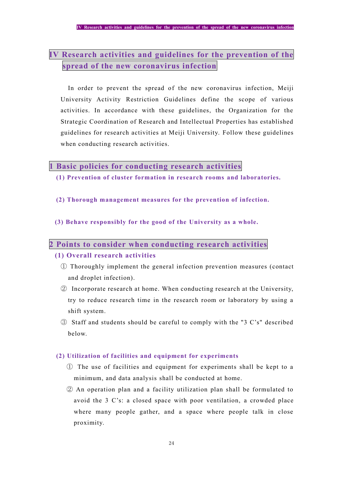## **IV Research activities and guidelines for the prevention of the spread of the new coronavirus infection**

In order to prevent the spread of the new coronavirus infection, Meiji University Activity Restriction Guidelines define the scope of various activities. In accordance with these guidelines, the Organization for the Strategic Coordination of Research and Intellectual Properties has established guidelines for research activities at Meiji University. Follow these guidelines when conducting research activities.

## <span id="page-23-0"></span>**1 Basic policies for conducting research activities**

- **(1) Prevention of cluster formation in research rooms and laboratories.**
- **(2) Thorough management measures for the prevention of infection.**
- **(3) Behave responsibly for the good of the University as a whole.**

## <span id="page-23-1"></span>**2 Points to consider when conducting research activities**

## **(1) Overall research activities**

- ① Thoroughly implement the general infection prevention measures (contact and droplet infection).
- ② Incorporate research at home. When conducting research at the University, try to reduce research time in the research room or laboratory by using a shift system.
- ③ Staff and students should be careful to comply with the "3 C's" described below.

## **(2) Utilization of facilities and equipment for experiments**

- ① The use of facilities and equipment for experiments shall be kept to a minimum, and data analysis shall be conducted at home.
- ② An operation plan and a facility utilization plan shall be formulated to avoid the 3 C's: a closed space with poor ventilation, a crowded place where many people gather, and a space where people talk in close proximity.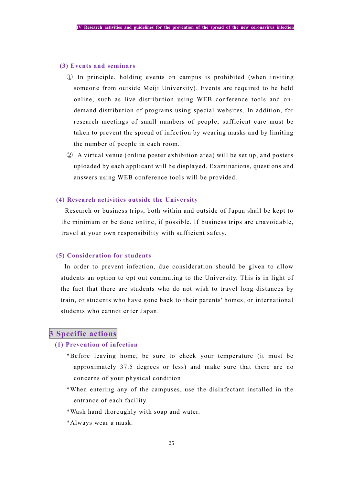#### **(3) Events and seminars**

- ① In principle, holding events on campus is prohibited (when i nviting someone from outside Meiji University). Events are required to be held online, such as live distribution using WEB conference tools and on demand distribution of programs using special websites. In addition, for research meetings of small numbers of people, sufficient care must be taken to prevent the spread of infection by wearing masks and by limiting the number of people in each room.
- ② A virtual venue (online poster exhibition area) will be set up, and posters uploaded by each applicant will be displayed. Examinations, questions and answers using WEB conference tools will be provided.

#### **(4) Research activities outside the University**

Research or business trips, both within and outside of Japan shall be kept to the minimum or be done online, if possible. If business trips are unavoidable, travel at your own responsibility with sufficient safety.

## **(5) Consideration for students**

In order to prevent infection, due consideration should be given to allow students an option to opt out commuting to the University. This is in light of the fact that there are students who do not wish to travel long distances by train, or students who have gone back to their parents' homes, or international students who cannot enter Japan.

## <span id="page-24-0"></span>**3 Specific actions**

## **(1) Prevention of infection**

- \*Before leaving home, be sure to check your temperature (it must be approximately 37.5 degrees or less) and make sure that there are no concerns of your physical condition.
- \*When entering any of the campuses, use the disinfectant installed in the entrance of each facility.
- \*Wash hand thoroughly with soap and water.
- \*Always wear a mask.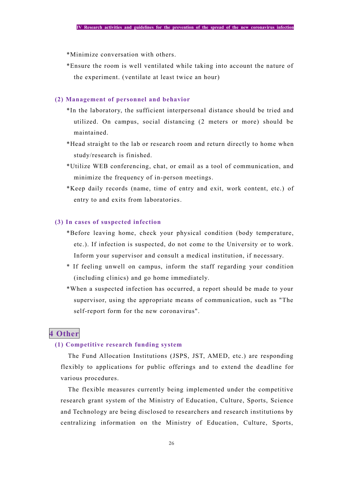\*Minimize conversation with others.

\*Ensure the room is well ventilated while taking into account the nature of the experiment. (ventilate at least twice an hour)

#### **(2) Management of personnel and behavior**

- \*In the laboratory, the sufficient interpersonal distance should be tried and utilized. On campus, social distancing (2 meters or more) should be maintained.
- \*Head straight to the lab or research room and return directly to home when study/research is finished.
- \*Utilize WEB conferencing, chat, or email as a tool of communication, and minimize the frequency of in-person meetings.
- \*Keep daily records (name, time of entry and exit, work content, etc.) of entry to and exits from laboratories.

#### **(3) In cases of suspected infection**

- \*Before leaving home, check your physical condition (body temperature, etc.). If infection is suspected, do not come to the University or to work. Inform your supervisor and consult a medical institution, if necessary.
- \* If feeling unwell on campus, inform the staff regarding your condition (including clinics) and go home immediately.
- \*When a suspected infection has occurred, a report should be made to your supervisor, using the appropriate means of communication, such as "The self-report form for the new coronavirus".

## <span id="page-25-0"></span>**4 Other**

### **(1) Competitive research funding system**

The Fund Allocation Institutions (JSPS, JST, AMED, etc.) are responding flexibly to applications for public offerings and to extend the deadline for various procedures.

The flexible measures currently being implemented under the competitive research grant system of the Ministry of Education, Culture, Sports, Science and Technology are being disclosed to researchers and research institutions by centralizing information on the Ministry of Education, Culture, Sports,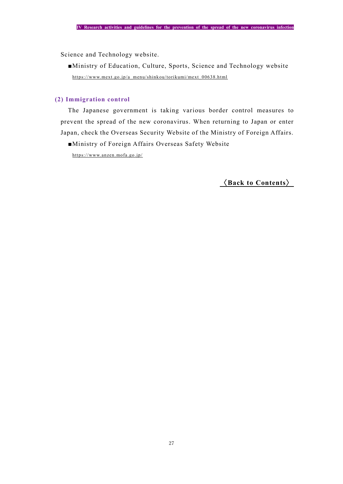Science and Technology website.

■Ministry of Education, Culture, Sports, Science and Technology website [https://www.mext.go.jp/a\\_menu/shinkou/torikumi/mext\\_00638.html](https://www.mext.go.jp/a_menu/shinkou/torikumi/mext_00638.html)

## **(2) Immigration control**

The Japanese government is taking various border control measures to prevent the spread of the new coronavirus. When returning to Japan or enter Japan, check the Overseas Security Website of the Ministry of Foreign Affairs.

■Ministry of Foreign Affairs Overseas Safety Website

<https://www.anzen.mofa.go.jp/>

〈**[Back to Contents](#page-1-0)**〉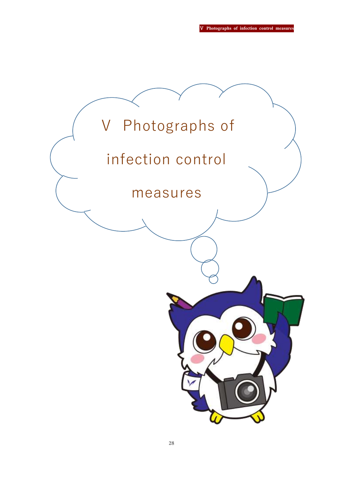Ⅴ **Photographs of infection control measures**

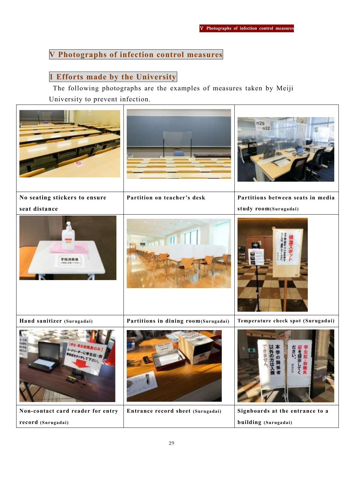## <span id="page-28-0"></span>**Ⅴ Photographs of infection control measures**

## **1 Efforts made by the University**

The following photographs are the examples of measures taken by Meiji University to prevent infection.

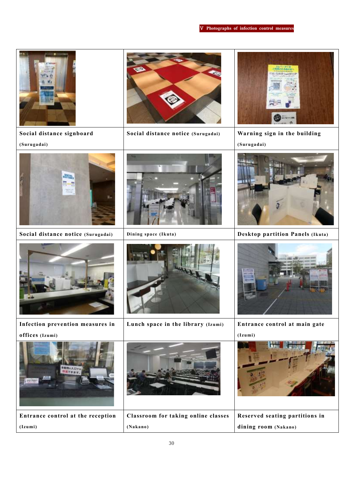